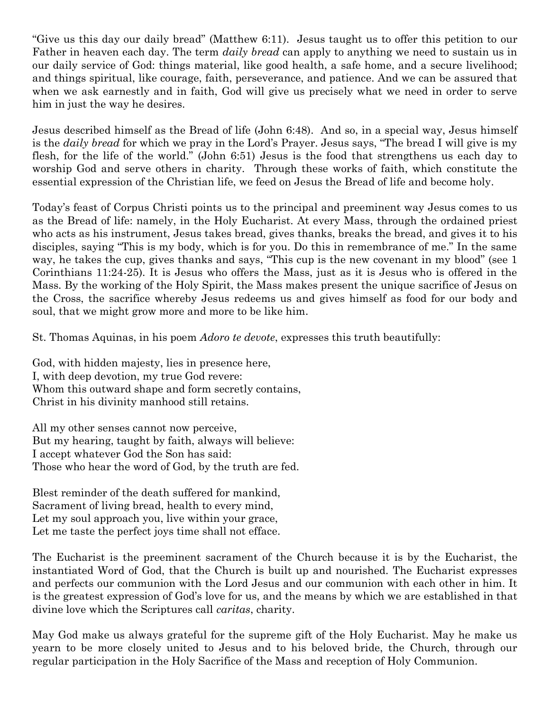"Give us this day our daily bread" (Matthew 6:11). Jesus taught us to offer this petition to our Father in heaven each day. The term *daily bread* can apply to anything we need to sustain us in our daily service of God: things material, like good health, a safe home, and a secure livelihood; and things spiritual, like courage, faith, perseverance, and patience. And we can be assured that when we ask earnestly and in faith, God will give us precisely what we need in order to serve him in just the way he desires.

Jesus described himself as the Bread of life (John 6:48). And so, in a special way, Jesus himself is the *daily bread* for which we pray in the Lord's Prayer. Jesus says, "The bread I will give is my flesh, for the life of the world." (John 6:51) Jesus is the food that strengthens us each day to worship God and serve others in charity. Through these works of faith, which constitute the essential expression of the Christian life, we feed on Jesus the Bread of life and become holy.

Today's feast of Corpus Christi points us to the principal and preeminent way Jesus comes to us as the Bread of life: namely, in the Holy Eucharist. At every Mass, through the ordained priest who acts as his instrument, Jesus takes bread, gives thanks, breaks the bread, and gives it to his disciples, saying "This is my body, which is for you. Do this in remembrance of me." In the same way, he takes the cup, gives thanks and says, "This cup is the new covenant in my blood" (see 1 Corinthians 11:24-25). It is Jesus who offers the Mass, just as it is Jesus who is offered in the Mass. By the working of the Holy Spirit, the Mass makes present the unique sacrifice of Jesus on the Cross, the sacrifice whereby Jesus redeems us and gives himself as food for our body and soul, that we might grow more and more to be like him.

St. Thomas Aquinas, in his poem *Adoro te devote*, expresses this truth beautifully:

God, with hidden majesty, lies in presence here, I, with deep devotion, my true God revere: Whom this outward shape and form secretly contains, Christ in his divinity manhood still retains.

All my other senses cannot now perceive, But my hearing, taught by faith, always will believe: I accept whatever God the Son has said: Those who hear the word of God, by the truth are fed.

Blest reminder of the death suffered for mankind, Sacrament of living bread, health to every mind, Let my soul approach you, live within your grace, Let me taste the perfect joys time shall not efface.

The Eucharist is the preeminent sacrament of the Church because it is by the Eucharist, the instantiated Word of God, that the Church is built up and nourished. The Eucharist expresses and perfects our communion with the Lord Jesus and our communion with each other in him. It is the greatest expression of God's love for us, and the means by which we are established in that divine love which the Scriptures call *caritas*, charity.

May God make us always grateful for the supreme gift of the Holy Eucharist. May he make us yearn to be more closely united to Jesus and to his beloved bride, the Church, through our regular participation in the Holy Sacrifice of the Mass and reception of Holy Communion.